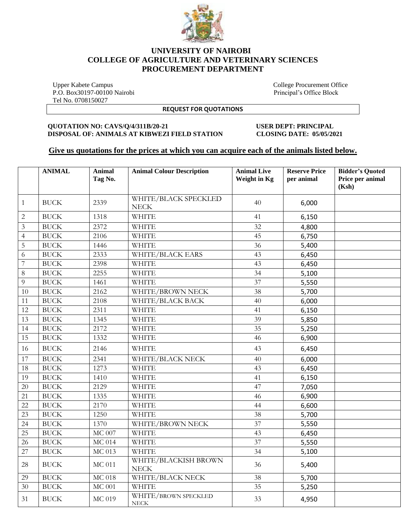

## **UNIVERSITY OF NAIROBI COLLEGE OF AGRICULTURE AND VETERINARY SCIENCES PROCUREMENT DEPARTMENT**

 Upper Kabete Campus College Procurement Office P.O. Box30197-00100 Nairobi **Principal's Office Block** Principal's Office Block Tel No. 0708150027

**REQUEST FOR QUOTATIONS**

#### **QUOTATION NO: CAVS/Q/4/311B/20-21 USER DEPT: PRINCIPAL DISPOSAL OF: ANIMALS AT KIBWEZI FIELD STATION CLOSING DATE: 05/05/2021**

### **Give us quotations for the prices at which you can acquire each of the animals listed below.**

|                | <b>ANIMAL</b> | <b>Animal</b><br>Tag No. | <b>Animal Colour Description</b>     | <b>Animal Live</b><br>Weight in Kg | <b>Reserve Price</b><br>per animal | <b>Bidder's Quoted</b><br>Price per animal<br>(Ksh) |
|----------------|---------------|--------------------------|--------------------------------------|------------------------------------|------------------------------------|-----------------------------------------------------|
| $\mathbf{1}$   | <b>BUCK</b>   | 2339                     | WHITE/BLACK SPECKLED<br><b>NECK</b>  | 40                                 | 6,000                              |                                                     |
| $\overline{c}$ | <b>BUCK</b>   | 1318                     | <b>WHITE</b>                         | 41                                 | 6,150                              |                                                     |
| 3              | <b>BUCK</b>   | 2372                     | <b>WHITE</b>                         | 32                                 | 4,800                              |                                                     |
| $\overline{4}$ | <b>BUCK</b>   | 2106                     | <b>WHITE</b>                         | 45                                 | 6,750                              |                                                     |
| 5              | <b>BUCK</b>   | 1446                     | WHITE                                | 36                                 | 5,400                              |                                                     |
| 6              | <b>BUCK</b>   | 2333                     | WHITE/BLACK EARS                     | 43                                 | 6,450                              |                                                     |
| 7              | <b>BUCK</b>   | 2398                     | <b>WHITE</b>                         | 43                                 | 6,450                              |                                                     |
| 8              | <b>BUCK</b>   | 2255                     | WHITE                                | 34                                 | 5,100                              |                                                     |
| $\overline{Q}$ | <b>BUCK</b>   | 1461                     | WHITE                                | 37                                 | 5,550                              |                                                     |
| 10             | <b>BUCK</b>   | 2162                     | WHITE/BROWN NECK                     | 38                                 | 5,700                              |                                                     |
| 11             | <b>BUCK</b>   | 2108                     | WHITE/BLACK BACK                     | 40                                 | 6,000                              |                                                     |
| 12             | <b>BUCK</b>   | 2311                     | WHITE                                | 41                                 | 6,150                              |                                                     |
| 13             | <b>BUCK</b>   | 1345                     | WHITE                                | 39                                 | 5,850                              |                                                     |
| 14             | <b>BUCK</b>   | 2172                     | WHITE                                | 35                                 | 5,250                              |                                                     |
| 15             | <b>BUCK</b>   | 1332                     | <b>WHITE</b>                         | 46                                 | 6,900                              |                                                     |
| 16             | <b>BUCK</b>   | 2146                     | <b>WHITE</b>                         | 43                                 | 6,450                              |                                                     |
| 17             | <b>BUCK</b>   | 2341                     | WHITE/BLACK NECK                     | 40                                 | 6,000                              |                                                     |
| 18             | <b>BUCK</b>   | 1273                     | <b>WHITE</b>                         | 43                                 | 6,450                              |                                                     |
| 19             | <b>BUCK</b>   | 1410                     | <b>WHITE</b>                         | 41                                 | 6,150                              |                                                     |
| 20             | <b>BUCK</b>   | 2129                     | <b>WHITE</b>                         | 47                                 | 7,050                              |                                                     |
| 21             | <b>BUCK</b>   | 1335                     | <b>WHITE</b>                         | 46                                 | 6,900                              |                                                     |
| 22             | <b>BUCK</b>   | 2170                     | <b>WHITE</b>                         | 44                                 | 6,600                              |                                                     |
| 23             | <b>BUCK</b>   | 1250                     | <b>WHITE</b>                         | 38                                 | 5,700                              |                                                     |
| 24             | <b>BUCK</b>   | 1370                     | WHITE/BROWN NECK                     | 37                                 | 5,550                              |                                                     |
| 25             | <b>BUCK</b>   | $\overline{MC}$ 007      | <b>WHITE</b>                         | 43                                 | 6,450                              |                                                     |
| 26             | <b>BUCK</b>   | <b>MC 014</b>            | <b>WHITE</b>                         | 37                                 | 5,550                              |                                                     |
| 27             | <b>BUCK</b>   | <b>MC 013</b>            | <b>WHITE</b>                         | 34                                 | 5,100                              |                                                     |
| 28             | <b>BUCK</b>   | <b>MC 011</b>            | WHITE/BLACKISH BROWN<br><b>NECK</b>  | 36                                 | 5,400                              |                                                     |
| 29             | <b>BUCK</b>   | <b>MC 018</b>            | WHITE/BLACK NECK                     | 38                                 | 5,700                              |                                                     |
| 30             | <b>BUCK</b>   | <b>MC 001</b>            | <b>WHITE</b>                         | 35                                 | 5,250                              |                                                     |
| 31             | <b>BUCK</b>   | <b>MC 019</b>            | WHITE/BROWN SPECKLED<br>${\rm NECK}$ | 33                                 | 4,950                              |                                                     |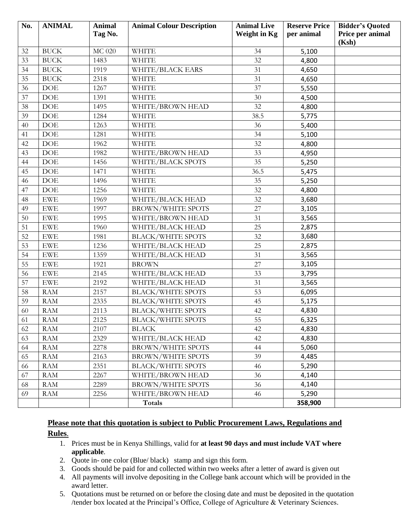| No. | <b>ANIMAL</b> | <b>Animal</b><br>Tag No. | <b>Animal Colour Description</b> | <b>Animal Live</b><br><b>Weight in Kg</b> | <b>Reserve Price</b><br>per animal | <b>Bidder's Quoted</b><br>Price per animal |
|-----|---------------|--------------------------|----------------------------------|-------------------------------------------|------------------------------------|--------------------------------------------|
|     |               |                          |                                  |                                           |                                    | (Ksh)                                      |
| 32  | <b>BUCK</b>   | <b>MC 020</b>            | <b>WHITE</b>                     | 34                                        | 5,100                              |                                            |
| 33  | <b>BUCK</b>   | 1483                     | <b>WHITE</b>                     | 32                                        | 4,800                              |                                            |
| 34  | <b>BUCK</b>   | 1919                     | WHITE/BLACK EARS                 | 31                                        | 4,650                              |                                            |
| 35  | <b>BUCK</b>   | 2318                     | <b>WHITE</b>                     | 31                                        | 4,650                              |                                            |
| 36  | <b>DOE</b>    | 1267                     | <b>WHITE</b>                     | 37                                        | 5,550                              |                                            |
| 37  | DOE           | 1391                     | <b>WHITE</b>                     | 30                                        | 4,500                              |                                            |
| 38  | <b>DOE</b>    | 1495                     | WHITE/BROWN HEAD                 | 32                                        | 4,800                              |                                            |
| 39  | <b>DOE</b>    | 1284                     | <b>WHITE</b>                     | 38.5                                      | 5,775                              |                                            |
| 40  | <b>DOE</b>    | 1263                     | <b>WHITE</b>                     | 36                                        | 5,400                              |                                            |
| 41  | <b>DOE</b>    | 1281                     | <b>WHITE</b>                     | 34                                        | 5,100                              |                                            |
| 42  | <b>DOE</b>    | 1962                     | <b>WHITE</b>                     | 32                                        | 4,800                              |                                            |
| 43  | DOE           | 1982                     | WHITE/BROWN HEAD                 | 33                                        | 4,950                              |                                            |
| 44  | <b>DOE</b>    | 1456                     | WHITE/BLACK SPOTS                | 35                                        | 5,250                              |                                            |
| 45  | <b>DOE</b>    | 1471                     | <b>WHITE</b>                     | 36.5                                      | 5,475                              |                                            |
| 46  | DOE           | 1496                     | <b>WHITE</b>                     | 35                                        | 5,250                              |                                            |
| 47  | <b>DOE</b>    | 1256                     | <b>WHITE</b>                     | 32                                        | 4,800                              |                                            |
| 48  | <b>EWE</b>    | 1969                     | WHITE/BLACK HEAD                 | 32                                        | 3,680                              |                                            |
| 49  | <b>EWE</b>    | 1997                     | <b>BROWN/WHITE SPOTS</b>         | 27                                        | 3,105                              |                                            |
| 50  | <b>EWE</b>    | 1995                     | WHITE/BROWN HEAD                 | 31                                        | 3,565                              |                                            |
| 51  | <b>EWE</b>    | 1960                     | WHITE/BLACK HEAD                 | 25                                        | 2,875                              |                                            |
| 52  | <b>EWE</b>    | 1981                     | <b>BLACK/WHITE SPOTS</b>         | 32                                        | 3,680                              |                                            |
| 53  | <b>EWE</b>    | 1236                     | WHITE/BLACK HEAD                 | 25                                        | 2,875                              |                                            |
| 54  | <b>EWE</b>    | 1359                     | WHITE/BLACK HEAD                 | 31                                        | 3,565                              |                                            |
| 55  | <b>EWE</b>    | 1921                     | <b>BROWN</b>                     | 27                                        | 3,105                              |                                            |
| 56  | <b>EWE</b>    | 2145                     | WHITE/BLACK HEAD                 | 33                                        | 3,795                              |                                            |
| 57  | <b>EWE</b>    | 2192                     | WHITE/BLACK HEAD                 | 31                                        | 3,565                              |                                            |
| 58  | <b>RAM</b>    | 2157                     | <b>BLACK/WHITE SPOTS</b>         | 53                                        | 6,095                              |                                            |
| 59  | <b>RAM</b>    | 2335                     | <b>BLACK/WHITE SPOTS</b>         | 45                                        | 5,175                              |                                            |
| 60  | <b>RAM</b>    | 2113                     | <b>BLACK/WHITE SPOTS</b>         | 42                                        | 4,830                              |                                            |
| 61  | <b>RAM</b>    | 2125                     | <b>BLACK/WHITE SPOTS</b>         | 55                                        | 6,325                              |                                            |
| 62  | <b>RAM</b>    | 2107                     | <b>BLACK</b>                     | 42                                        | 4,830                              |                                            |
| 63  | <b>RAM</b>    | 2329                     | WHITE/BLACK HEAD                 | 42                                        | 4,830                              |                                            |
| 64  | <b>RAM</b>    | 2278                     | <b>BROWN/WHITE SPOTS</b>         | 44                                        | 5,060                              |                                            |
| 65  | RAM           | 2163                     | <b>BROWN/WHITE SPOTS</b>         | 39                                        | 4,485                              |                                            |
| 66  | RAM           | 2351                     | <b>BLACK/WHITE SPOTS</b>         | 46                                        | 5,290                              |                                            |
| 67  | <b>RAM</b>    | 2267                     | WHITE/BROWN HEAD                 | 36                                        | 4,140                              |                                            |
| 68  | <b>RAM</b>    | 2289                     | <b>BROWN/WHITE SPOTS</b>         | 36                                        | 4,140                              |                                            |
| 69  | <b>RAM</b>    | 2256                     | WHITE/BROWN HEAD                 | 46                                        | 5,290                              |                                            |
|     |               |                          | Totals                           |                                           | 358,900                            |                                            |

# **Please note that this quotation is subject to Public Procurement Laws, Regulations and Rules**.

- 1. Prices must be in Kenya Shillings, valid for **at least 90 days and must include VAT where applicable**.
- 2. Quote in- one color (Blue/ black) stamp and sign this form.
- 3. Goods should be paid for and collected within two weeks after a letter of award is given out
- 4. All payments will involve depositing in the College bank account which will be provided in the award letter.
- 5. Quotations must be returned on or before the closing date and must be deposited in the quotation /tender box located at the Principal's Office, College of Agriculture & Veterinary Sciences.